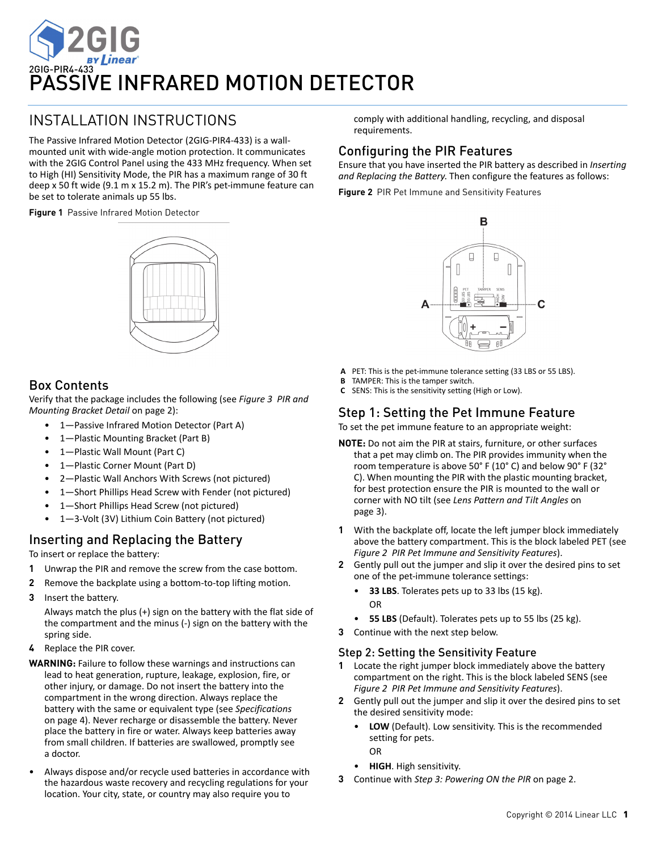

# INSTALLATION INSTRUCTIONS

The Passive Infrared Motion Detector (2GIG‐PIR4‐433) is a wall‐ mounted unit with wide‐angle motion protection. It communicates with the 2GIG Control Panel using the 433 MHz frequency. When set to High (HI) Sensitivity Mode, the PIR has a maximum range of 30 ft deep x 50 ft wide (9.1 m x 15.2 m). The PIR's pet‐immune feature can be set to tolerate animals up 55 lbs.

**Figure 1** Passive Infrared Motion Detector



## Box Contents

Verify that the package includes the following (see *[Figure](#page-1-0) 3 PIR [and](#page-1-0) [Mounting](#page-1-0) Bracket Detail* on page 2):

- 1-Passive Infrared Motion Detector (Part A)
- 1-Plastic Mounting Bracket (Part B)
- 1—Plastic Wall Mount (Part C)
- 1-Plastic Corner Mount (Part D)
- 2—Plastic Wall Anchors With Screws (not pictured)
- 1-Short Phillips Head Screw with Fender (not pictured)
- 1-Short Phillips Head Screw (not pictured)
- 1—3‐Volt (3V) Lithium Coin Battery (not pictured)

## <span id="page-0-1"></span>Inserting and Replacing the Battery

To insert or replace the battery:

- **1** Unwrap the PIR and remove the screw from the case bottom.
- **2** Remove the backplate using a bottom‐to‐top lifting motion.
- **3** Insert the battery.

Always match the plus (+) sign on the battery with the flat side of the compartment and the minus (‐) sign on the battery with the spring side.

- **4** Replace the PIR cover.
- **WARNING:** Failure to follow these warnings and instructions can lead to heat generation, rupture, leakage, explosion, fire, or other injury, or damage. Do not insert the battery into the compartment in the wrong direction. Always replace the battery with the same or equivalent type (see *[Specifications](#page-3-0)* on [page](#page-3-0) 4). Never recharge or disassemble the battery. Never place the battery in fire or water. Always keep batteries away from small children. If batteries are swallowed, promptly see a doctor.
- Always dispose and/or recycle used batteries in accordance with the hazardous waste recovery and recycling regulations for your location. Your city, state, or country may also require you to

comply with additional handling, recycling, and disposal requirements.

## Configuring the PIR Features

Ensure that you have inserted the PIR battery as described in *Inserting and Replacing the Battery*. Then configure the features as follows:

<span id="page-0-0"></span>**Figure 2** PIR Pet Immune and Sensitivity Features



- **A** PET: This is the pet‐immune tolerance setting (33 LBS or 55 LBS).
- **B** TAMPER: This is the tamper switch.
- **C** SENS: This is the sensitivity setting (High or Low).

## Step 1: Setting the Pet Immune Feature

To set the pet immune feature to an appropriate weight:

- **NOTE:** Do not aim the PIR at stairs, furniture, or other surfaces that a pet may climb on. The PIR provides immunity when the room temperature is above 50° F (10° C) and below 90° F (32° C). When mounting the PIR with the plastic mounting bracket, for best protection ensure the PIR is mounted to the wall or corner with NO tilt (see *Lens [Pattern](#page-2-0) and Tilt Angles* on [page](#page-2-0) 3).
- **1** With the backplate off, locate the left jumper block immediately above the battery compartment. This is the block labeled PET (see *[Figure](#page-0-0) 2 PIR Pet Immune and [Sensitivity](#page-0-0) Features*).
- **2** Gently pull out the jumper and slip it over the desired pins to set one of the pet‐immune tolerance settings:
	- **33 LBS**. Tolerates pets up to 33 lbs (15 kg). OR
	- **55 LBS** (Default). Tolerates pets up to 55 lbs (25 kg).
- **3** Continue with the next step below.

## Step 2: Setting the Sensitivity Feature

- **1** Locate the right jumper block immediately above the battery compartment on the right. This is the block labeled SENS (see *Figure 2 PIR Pet Immune and Sensitivity Features*).
- **2** Gently pull out the jumper and slip it over the desired pins to set the desired sensitivity mode:
	- **LOW** (Default). Low sensitivity. This is the recommended setting for pets.
		- OR
	- **HIGH**. High sensitivity.
- **3** Continue with *Step 3: [Powering](#page-1-1) ON the PIR* on page 2.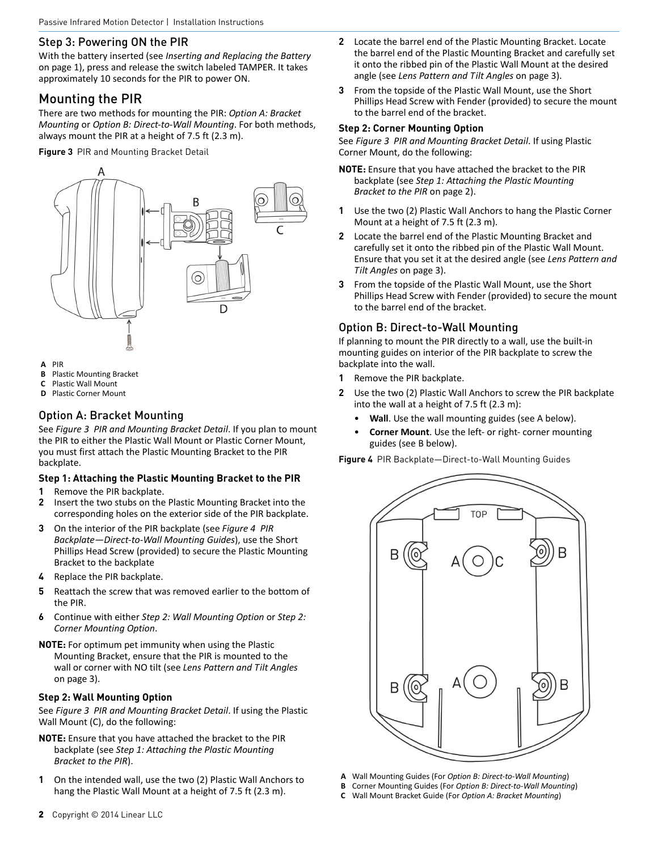### <span id="page-1-1"></span>Step 3: Powering ON the PIR

With the battery inserted (see *Inserting and [Replacing](#page-0-1) the Battery* on [page](#page-0-1) 1), press and release the switch labeled TAMPER. It takes approximately 10 seconds for the PIR to power ON.

## Mounting the PIR

There are two methods for mounting the PIR: *Option A: [Bracket](#page-1-3) [Mounting](#page-1-3)* or *Option B: Direct‐to‐Wall [Mounting](#page-1-2)*. For both methods, always mount the PIR at a height of 7.5 ft (2.3 m).

<span id="page-1-0"></span>**Figure 3** PIR and Mounting Bracket Detail



- **A** PIR
- **B** Plastic Mounting Bracket
- **C** Plastic Wall Mount
- **D** Plastic Corner Mount

### <span id="page-1-3"></span>Option A: Bracket Mounting

See *[Figure](#page-1-0) 3 PIR and [Mounting](#page-1-0) Bracket Detail*. If you plan to mount the PIR to either the Plastic Wall Mount or Plastic Corner Mount, you must first attach the Plastic Mounting Bracket to the PIR backplate.

#### <span id="page-1-7"></span>**Step 1: Attaching the Plastic Mounting Bracket to the PIR**

- **1** Remove the PIR backplate.
- **2** Insert the two stubs on the Plastic Mounting Bracket into the corresponding holes on the exterior side of the PIR backplate.
- **3** On the interior of the PIR backplate (see *[Figure](#page-1-4) 4 [PIR](#page-1-4) [Backplate—Direct](#page-1-4)‐to‐Wall Mounting Guides*), use the Short Phillips Head Screw (provided) to secure the Plastic Mounting Bracket to the backplate
- **4** Replace the PIR backplate.
- **5** Reattach the screw that was removed earlier to the bottom of the PIR.
- **6** Continue with either *Step 2: Wall [Mounting](#page-1-5) Option* or *[Step](#page-1-6) 2: Corner [Mounting](#page-1-6) Option*.
- **NOTE:** For optimum pet immunity when using the Plastic Mounting Bracket, ensure that the PIR is mounted to the wall or corner with NO tilt (see *Lens [Pattern](#page-2-0) and Tilt Angles* on [page](#page-2-0) 3).

#### <span id="page-1-5"></span>**Step 2: Wall Mounting Option**

See *[Figure](#page-1-0) 3 PIR and [Mounting](#page-1-0) Bracket Detail*. If using the Plastic Wall Mount (C), do the following:

- **NOTE:** Ensure that you have attached the bracket to the PIR backplate (see *Step 1: Attaching the Plastic [Mounting](#page-1-7) [Bracket](#page-1-7) to the PIR*).
- **1** On the intended wall, use the two (2) Plastic Wall Anchors to hang the Plastic Wall Mount at a height of 7.5 ft (2.3 m).
- **2** Locate the barrel end of the Plastic Mounting Bracket. Locate the barrel end of the Plastic Mounting Bracket and carefully set it onto the ribbed pin of the Plastic Wall Mount at the desired angle (see *Lens [Pattern](#page-2-0) and Tilt Angles* on [page](#page-2-0) 3).
- **3** From the topside of the Plastic Wall Mount, use the Short Phillips Head Screw with Fender (provided) to secure the mount to the barrel end of the bracket.

#### <span id="page-1-6"></span>**Step 2: Corner Mounting Option**

See *[Figure](#page-1-0) 3 PIR and [Mounting](#page-1-0) Bracket Detail*. If using Plastic Corner Mount, do the following:

- **NOTE:** Ensure that you have attached the bracket to the PIR backplate (see *Step 1: Attaching the Plastic [Mounting](#page-1-7) [Bracket](#page-1-7) to the PIR* on [page](#page-1-7) 2).
- **1** Use the two (2) Plastic Wall Anchors to hang the Plastic Corner Mount at a height of 7.5 ft (2.3 m).
- **2** Locate the barrel end of the Plastic Mounting Bracket and carefully set it onto the ribbed pin of the Plastic Wall Mount. Ensure that you set it at the desired angle (see *Lens [Pattern](#page-2-0) and Tilt [Angles](#page-2-0)* on page 3).
- **3** From the topside of the Plastic Wall Mount, use the Short Phillips Head Screw with Fender (provided) to secure the mount to the barrel end of the bracket.

## <span id="page-1-2"></span>Option B: Direct-to-Wall Mounting

If planning to mount the PIR directly to a wall, use the built‐in mounting guides on interior of the PIR backplate to screw the backplate into the wall.

- **1** Remove the PIR backplate.
- **2** Use the two (2) Plastic Wall Anchors to screw the PIR backplate into the wall at a height of 7.5 ft (2.3 m):
	- Wall. Use the wall mounting guides (see A below).
	- **Corner Mount**. Use the left‐ or right‐ corner mounting guides (see B below).

<span id="page-1-4"></span>**Figure 4** PIR Backplate—Direct-to-Wall Mounting Guides



- **A** Wall Mounting Guides (For *Option B: Direct‐to‐Wall [Mounting](#page-1-2)*)
- **B** Corner Mounting Guides (For *Option B: Direct‐to‐Wall [Mounting](#page-1-2)*)
- **C** Wall Mount Bracket Guide (For *Option A: Bracket [Mounting](#page-1-3)*)

2 Copyright © 2014 Linear LLC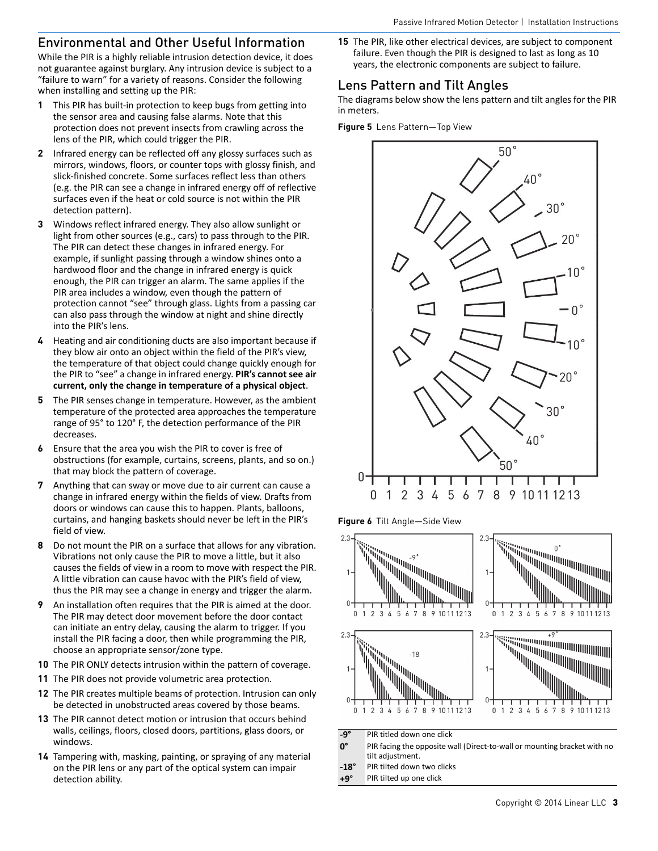## Environmental and Other Useful Information

While the PIR is a highly reliable intrusion detection device, it does not guarantee against burglary. Any intrusion device is subject to a "failure to warn" for a variety of reasons. Consider the following when installing and setting up the PIR:

- **1** This PIR has built‐in protection to keep bugs from getting into the sensor area and causing false alarms. Note that this protection does not prevent insects from crawling across the lens of the PIR, which could trigger the PIR.
- **2** Infrared energy can be reflected off any glossy surfaces such as mirrors, windows, floors, or counter tops with glossy finish, and slick-finished concrete. Some surfaces reflect less than others (e.g. the PIR can see a change in infrared energy off of reflective surfaces even if the heat or cold source is not within the PIR detection pattern).
- **3** Windows reflect infrared energy. They also allow sunlight or light from other sources (e.g., cars) to pass through to the PIR. The PIR can detect these changes in infrared energy. For example, if sunlight passing through a window shines onto a hardwood floor and the change in infrared energy is quick enough, the PIR can trigger an alarm. The same applies if the PIR area includes a window, even though the pattern of protection cannot "see" through glass. Lights from a passing car can also pass through the window at night and shine directly into the PIR's lens.
- **4** Heating and air conditioning ducts are also important because if they blow air onto an object within the field of the PIR's view, the temperature of that object could change quickly enough for the PIR to "see" a change in infrared energy. **PIR's cannot see air current, only the change in temperature of a physical object**.
- **5** The PIR senses change in temperature. However, as the ambient temperature of the protected area approaches the temperature range of 95° to 120° F, the detection performance of the PIR decreases.
- **6** Ensure that the area you wish the PIR to cover is free of obstructions (for example, curtains, screens, plants, and so on.) that may block the pattern of coverage.
- **7** Anything that can sway or move due to air current can cause a change in infrared energy within the fields of view. Drafts from doors or windows can cause this to happen. Plants, balloons, curtains, and hanging baskets should never be left in the PIR's field of view.
- **8** Do not mount the PIR on a surface that allows for any vibration. Vibrations not only cause the PIR to move a little, but it also causes the fields of view in a room to move with respect the PIR. A little vibration can cause havoc with the PIR's field of view, thus the PIR may see a change in energy and trigger the alarm.
- **9** An installation often requires that the PIR is aimed at the door. The PIR may detect door movement before the door contact can initiate an entry delay, causing the alarm to trigger. If you install the PIR facing a door, then while programming the PIR, choose an appropriate sensor/zone type.
- **10** The PIR ONLY detects intrusion within the pattern of coverage.
- **11** The PIR does not provide volumetric area protection.
- **12** The PIR creates multiple beams of protection. Intrusion can only be detected in unobstructed areas covered by those beams.
- **13** The PIR cannot detect motion or intrusion that occurs behind walls, ceilings, floors, closed doors, partitions, glass doors, or windows.
- **14** Tampering with, masking, painting, or spraying of any material on the PIR lens or any part of the optical system can impair detection ability.

**15** The PIR, like other electrical devices, are subject to component failure. Even though the PIR is designed to last as long as 10 years, the electronic components are subject to failure.

## <span id="page-2-0"></span>Lens Pattern and Tilt Angles

The diagrams below show the lens pattern and tilt angles for the PIR in meters.

**Figure 5** Lens Pattern—Top View



**Figure 6** Tilt Angle—Side View



- **‐9°** PIR titled down one click
- **0°** PIR facing the opposite wall (Direct‐to‐wall or mounting bracket with no tilt adjustment.
- **‐18°** PIR tilted down two clicks
- **+9°** PIR tilted up one click